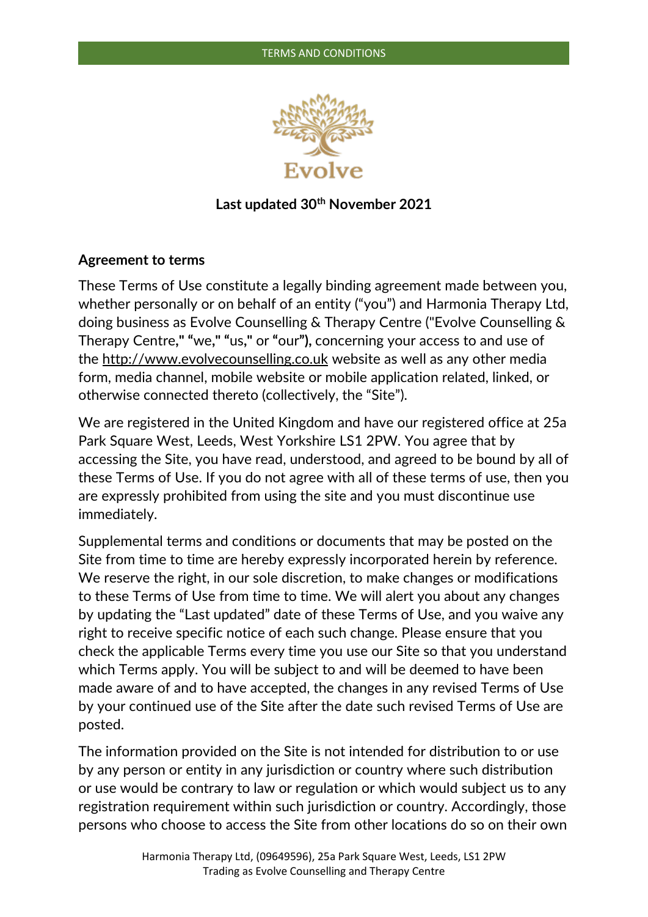

### **Last updated 30th November 2021**

### **Agreement to terms**

These Terms of Use constitute a legally binding agreement made between you, whether personally or on behalf of an entity ("you") and Harmonia Therapy Ltd, doing business as Evolve Counselling & Therapy Centre ("Evolve Counselling & Therapy Centre**," "**we**," "**us**,"** or **"**our**"),** concerning your access to and use of the [http://www.evolvecounselling.co.uk](http://www.evolvecounselling.co.uk/) website as well as any other media form, media channel, mobile website or mobile application related, linked, or otherwise connected thereto (collectively, the "Site").

We are registered in the United Kingdom and have our registered office at 25a Park Square West, Leeds, West Yorkshire LS1 2PW. You agree that by accessing the Site, you have read, understood, and agreed to be bound by all of these Terms of Use. If you do not agree with all of these terms of use, then you are expressly prohibited from using the site and you must discontinue use immediately.

Supplemental terms and conditions or documents that may be posted on the Site from time to time are hereby expressly incorporated herein by reference. We reserve the right, in our sole discretion, to make changes or modifications to these Terms of Use from time to time. We will alert you about any changes by updating the "Last updated" date of these Terms of Use, and you waive any right to receive specific notice of each such change. Please ensure that you check the applicable Terms every time you use our Site so that you understand which Terms apply. You will be subject to and will be deemed to have been made aware of and to have accepted, the changes in any revised Terms of Use by your continued use of the Site after the date such revised Terms of Use are posted.

The information provided on the Site is not intended for distribution to or use by any person or entity in any jurisdiction or country where such distribution or use would be contrary to law or regulation or which would subject us to any registration requirement within such jurisdiction or country. Accordingly, those persons who choose to access the Site from other locations do so on their own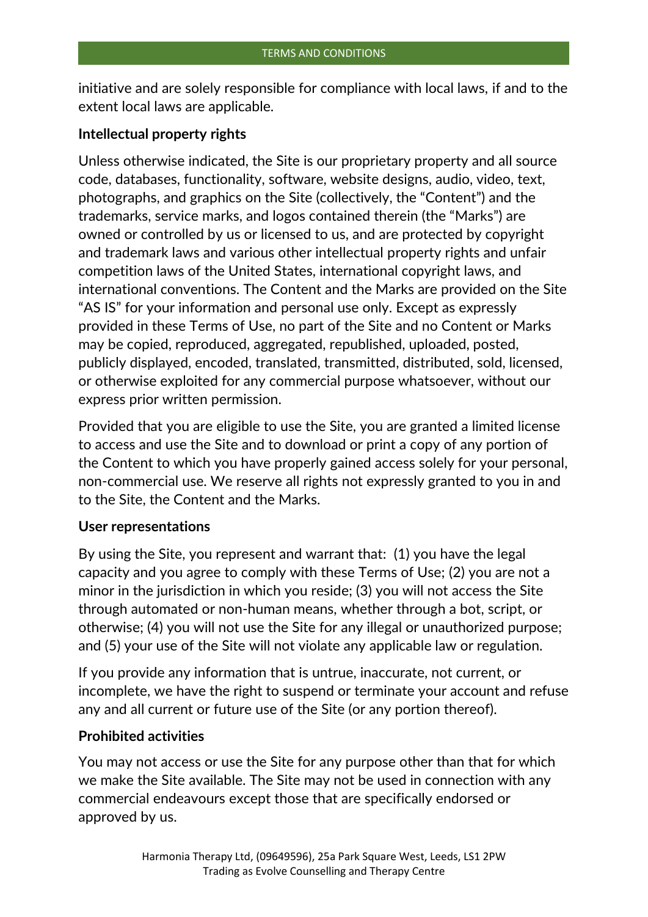initiative and are solely responsible for compliance with local laws, if and to the extent local laws are applicable.

### **Intellectual property rights**

Unless otherwise indicated, the Site is our proprietary property and all source code, databases, functionality, software, website designs, audio, video, text, photographs, and graphics on the Site (collectively, the "Content") and the trademarks, service marks, and logos contained therein (the "Marks") are owned or controlled by us or licensed to us, and are protected by copyright and trademark laws and various other intellectual property rights and unfair competition laws of the United States, international copyright laws, and international conventions. The Content and the Marks are provided on the Site "AS IS" for your information and personal use only. Except as expressly provided in these Terms of Use, no part of the Site and no Content or Marks may be copied, reproduced, aggregated, republished, uploaded, posted, publicly displayed, encoded, translated, transmitted, distributed, sold, licensed, or otherwise exploited for any commercial purpose whatsoever, without our express prior written permission.

Provided that you are eligible to use the Site, you are granted a limited license to access and use the Site and to download or print a copy of any portion of the Content to which you have properly gained access solely for your personal, non-commercial use. We reserve all rights not expressly granted to you in and to the Site, the Content and the Marks.

### **User representations**

By using the Site, you represent and warrant that: (1) you have the legal capacity and you agree to comply with these Terms of Use; (2) you are not a minor in the jurisdiction in which you reside; (3) you will not access the Site through automated or non-human means, whether through a bot, script, or otherwise; (4) you will not use the Site for any illegal or unauthorized purpose; and (5) your use of the Site will not violate any applicable law or regulation.

If you provide any information that is untrue, inaccurate, not current, or incomplete, we have the right to suspend or terminate your account and refuse any and all current or future use of the Site (or any portion thereof).

## **Prohibited activities**

You may not access or use the Site for any purpose other than that for which we make the Site available. The Site may not be used in connection with any commercial endeavours except those that are specifically endorsed or approved by us.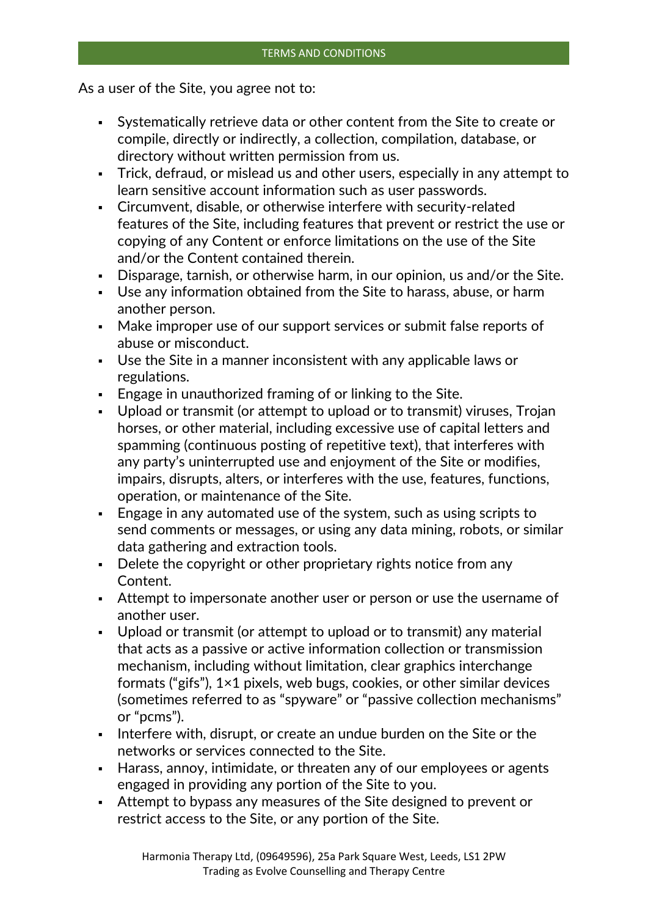As a user of the Site, you agree not to:

- Systematically retrieve data or other content from the Site to create or compile, directly or indirectly, a collection, compilation, database, or directory without written permission from us.
- Trick, defraud, or mislead us and other users, especially in any attempt to learn sensitive account information such as user passwords.
- Circumvent, disable, or otherwise interfere with security-related features of the Site, including features that prevent or restrict the use or copying of any Content or enforce limitations on the use of the Site and/or the Content contained therein.
- Disparage, tarnish, or otherwise harm, in our opinion, us and/or the Site.
- Use any information obtained from the Site to harass, abuse, or harm another person.
- Make improper use of our support services or submit false reports of abuse or misconduct.
- Use the Site in a manner inconsistent with any applicable laws or regulations.
- Engage in unauthorized framing of or linking to the Site.
- Upload or transmit (or attempt to upload or to transmit) viruses, Trojan horses, or other material, including excessive use of capital letters and spamming (continuous posting of repetitive text), that interferes with any party's uninterrupted use and enjoyment of the Site or modifies, impairs, disrupts, alters, or interferes with the use, features, functions, operation, or maintenance of the Site.
- **Engage in any automated use of the system, such as using scripts to** send comments or messages, or using any data mining, robots, or similar data gathering and extraction tools.
- Delete the copyright or other proprietary rights notice from any Content.
- **EXECT** Attempt to impersonate another user or person or use the username of another user.
- Upload or transmit (or attempt to upload or to transmit) any material that acts as a passive or active information collection or transmission mechanism, including without limitation, clear graphics interchange formats ("gifs"), 1×1 pixels, web bugs, cookies, or other similar devices (sometimes referred to as "spyware" or "passive collection mechanisms" or "pcms").
- **•** Interfere with, disrupt, or create an undue burden on the Site or the networks or services connected to the Site.
- Harass, annoy, intimidate, or threaten any of our employees or agents engaged in providing any portion of the Site to you.
- Attempt to bypass any measures of the Site designed to prevent or restrict access to the Site, or any portion of the Site.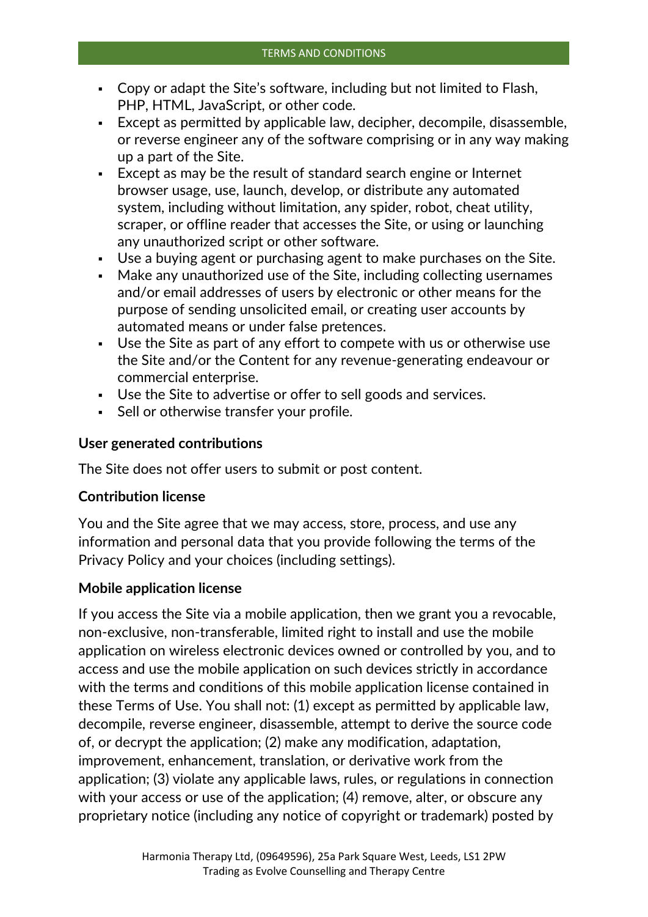- Copy or adapt the Site's software, including but not limited to Flash, PHP, HTML, JavaScript, or other code.
- Except as permitted by applicable law, decipher, decompile, disassemble, or reverse engineer any of the software comprising or in any way making up a part of the Site.
- Except as may be the result of standard search engine or Internet browser usage, use, launch, develop, or distribute any automated system, including without limitation, any spider, robot, cheat utility, scraper, or offline reader that accesses the Site, or using or launching any unauthorized script or other software.
- Use a buying agent or purchasing agent to make purchases on the Site.
- Make any unauthorized use of the Site, including collecting usernames and/or email addresses of users by electronic or other means for the purpose of sending unsolicited email, or creating user accounts by automated means or under false pretences.
- Use the Site as part of any effort to compete with us or otherwise use the Site and/or the Content for any revenue-generating endeavour or commercial enterprise.
- Use the Site to advertise or offer to sell goods and services.
- Sell or otherwise transfer your profile.

### **User generated contributions**

The Site does not offer users to submit or post content.

### **Contribution license**

You and the Site agree that we may access, store, process, and use any information and personal data that you provide following the terms of the Privacy Policy and your choices (including settings).

### **Mobile application license**

If you access the Site via a mobile application, then we grant you a revocable, non-exclusive, non-transferable, limited right to install and use the mobile application on wireless electronic devices owned or controlled by you, and to access and use the mobile application on such devices strictly in accordance with the terms and conditions of this mobile application license contained in these Terms of Use. You shall not: (1) except as permitted by applicable law, decompile, reverse engineer, disassemble, attempt to derive the source code of, or decrypt the application; (2) make any modification, adaptation, improvement, enhancement, translation, or derivative work from the application; (3) violate any applicable laws, rules, or regulations in connection with your access or use of the application; (4) remove, alter, or obscure any proprietary notice (including any notice of copyright or trademark) posted by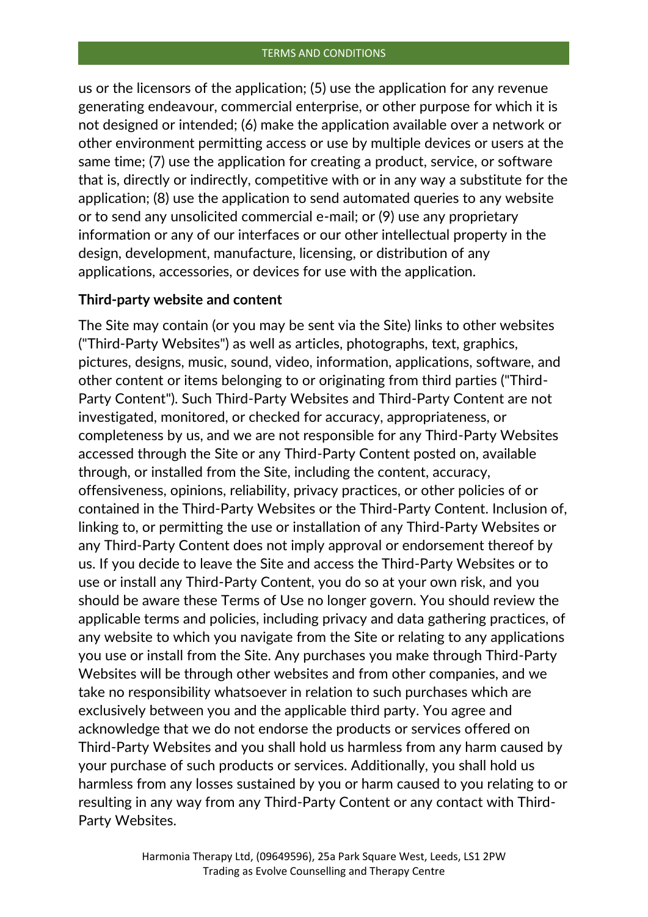us or the licensors of the application; (5) use the application for any revenue generating endeavour, commercial enterprise, or other purpose for which it is not designed or intended; (6) make the application available over a network or other environment permitting access or use by multiple devices or users at the same time; (7) use the application for creating a product, service, or software that is, directly or indirectly, competitive with or in any way a substitute for the application; (8) use the application to send automated queries to any website or to send any unsolicited commercial e-mail; or (9) use any proprietary information or any of our interfaces or our other intellectual property in the design, development, manufacture, licensing, or distribution of any applications, accessories, or devices for use with the application.

#### **Third-party website and content**

The Site may contain (or you may be sent via the Site) links to other websites ("Third-Party Websites") as well as articles, photographs, text, graphics, pictures, designs, music, sound, video, information, applications, software, and other content or items belonging to or originating from third parties ("Third-Party Content"). Such Third-Party Websites and Third-Party Content are not investigated, monitored, or checked for accuracy, appropriateness, or completeness by us, and we are not responsible for any Third-Party Websites accessed through the Site or any Third-Party Content posted on, available through, or installed from the Site, including the content, accuracy, offensiveness, opinions, reliability, privacy practices, or other policies of or contained in the Third-Party Websites or the Third-Party Content. Inclusion of, linking to, or permitting the use or installation of any Third-Party Websites or any Third-Party Content does not imply approval or endorsement thereof by us. If you decide to leave the Site and access the Third-Party Websites or to use or install any Third-Party Content, you do so at your own risk, and you should be aware these Terms of Use no longer govern. You should review the applicable terms and policies, including privacy and data gathering practices, of any website to which you navigate from the Site or relating to any applications you use or install from the Site. Any purchases you make through Third-Party Websites will be through other websites and from other companies, and we take no responsibility whatsoever in relation to such purchases which are exclusively between you and the applicable third party. You agree and acknowledge that we do not endorse the products or services offered on Third-Party Websites and you shall hold us harmless from any harm caused by your purchase of such products or services. Additionally, you shall hold us harmless from any losses sustained by you or harm caused to you relating to or resulting in any way from any Third-Party Content or any contact with Third-Party Websites.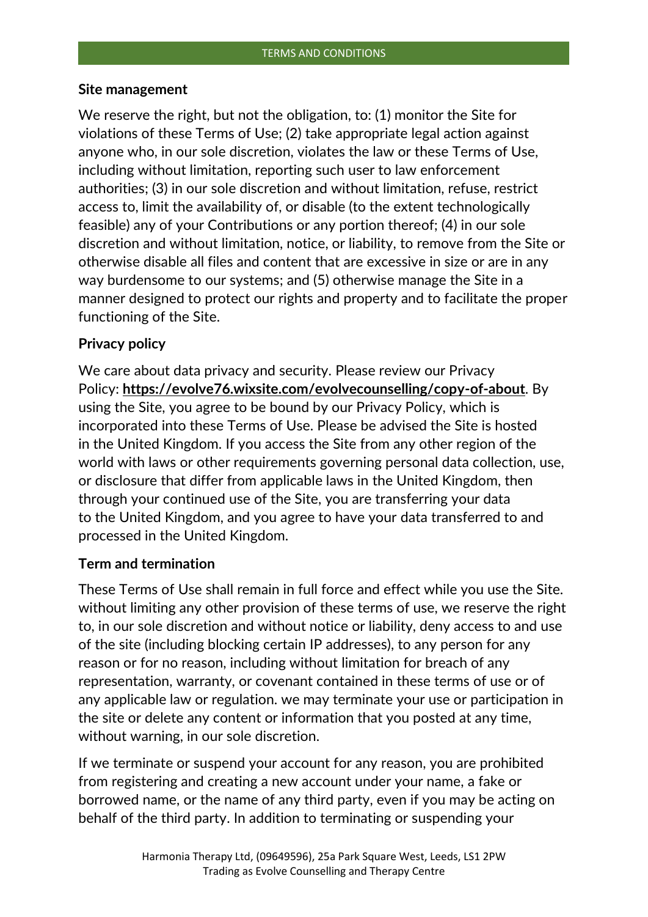#### **Site management**

We reserve the right, but not the obligation, to: (1) monitor the Site for violations of these Terms of Use; (2) take appropriate legal action against anyone who, in our sole discretion, violates the law or these Terms of Use, including without limitation, reporting such user to law enforcement authorities; (3) in our sole discretion and without limitation, refuse, restrict access to, limit the availability of, or disable (to the extent technologically feasible) any of your Contributions or any portion thereof; (4) in our sole discretion and without limitation, notice, or liability, to remove from the Site or otherwise disable all files and content that are excessive in size or are in any way burdensome to our systems; and (5) otherwise manage the Site in a manner designed to protect our rights and property and to facilitate the proper functioning of the Site.

## **Privacy policy**

We care about data privacy and security. Please review our Privacy Policy: **<https://evolve76.wixsite.com/evolvecounselling/copy-of-about>**. By using the Site, you agree to be bound by our Privacy Policy, which is incorporated into these Terms of Use. Please be advised the Site is hosted in the United Kingdom. If you access the Site from any other region of the world with laws or other requirements governing personal data collection, use, or disclosure that differ from applicable laws in the United Kingdom, then through your continued use of the Site, you are transferring your data to the United Kingdom, and you agree to have your data transferred to and processed in the United Kingdom.

### **Term and termination**

These Terms of Use shall remain in full force and effect while you use the Site. without limiting any other provision of these terms of use, we reserve the right to, in our sole discretion and without notice or liability, deny access to and use of the site (including blocking certain IP addresses), to any person for any reason or for no reason, including without limitation for breach of any representation, warranty, or covenant contained in these terms of use or of any applicable law or regulation. we may terminate your use or participation in the site or delete any content or information that you posted at any time, without warning, in our sole discretion.

If we terminate or suspend your account for any reason, you are prohibited from registering and creating a new account under your name, a fake or borrowed name, or the name of any third party, even if you may be acting on behalf of the third party. In addition to terminating or suspending your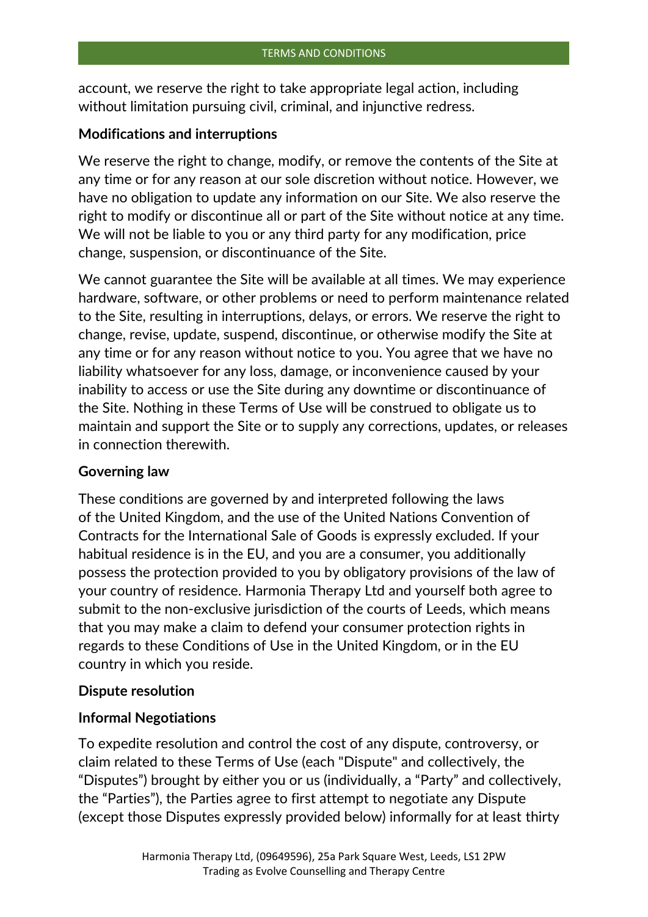account, we reserve the right to take appropriate legal action, including without limitation pursuing civil, criminal, and injunctive redress.

### **Modifications and interruptions**

We reserve the right to change, modify, or remove the contents of the Site at any time or for any reason at our sole discretion without notice. However, we have no obligation to update any information on our Site. We also reserve the right to modify or discontinue all or part of the Site without notice at any time. We will not be liable to you or any third party for any modification, price change, suspension, or discontinuance of the Site.

We cannot guarantee the Site will be available at all times. We may experience hardware, software, or other problems or need to perform maintenance related to the Site, resulting in interruptions, delays, or errors. We reserve the right to change, revise, update, suspend, discontinue, or otherwise modify the Site at any time or for any reason without notice to you. You agree that we have no liability whatsoever for any loss, damage, or inconvenience caused by your inability to access or use the Site during any downtime or discontinuance of the Site. Nothing in these Terms of Use will be construed to obligate us to maintain and support the Site or to supply any corrections, updates, or releases in connection therewith.

## **Governing law**

These conditions are governed by and interpreted following the laws of the United Kingdom, and the use of the United Nations Convention of Contracts for the International Sale of Goods is expressly excluded. If your habitual residence is in the EU, and you are a consumer, you additionally possess the protection provided to you by obligatory provisions of the law of your country of residence. Harmonia Therapy Ltd and yourself both agree to submit to the non-exclusive jurisdiction of the courts of Leeds, which means that you may make a claim to defend your consumer protection rights in regards to these Conditions of Use in the United Kingdom, or in the EU country in which you reside.

### **Dispute resolution**

## **Informal Negotiations**

To expedite resolution and control the cost of any dispute, controversy, or claim related to these Terms of Use (each "Dispute" and collectively, the "Disputes") brought by either you or us (individually, a "Party" and collectively, the "Parties"), the Parties agree to first attempt to negotiate any Dispute (except those Disputes expressly provided below) informally for at least thirty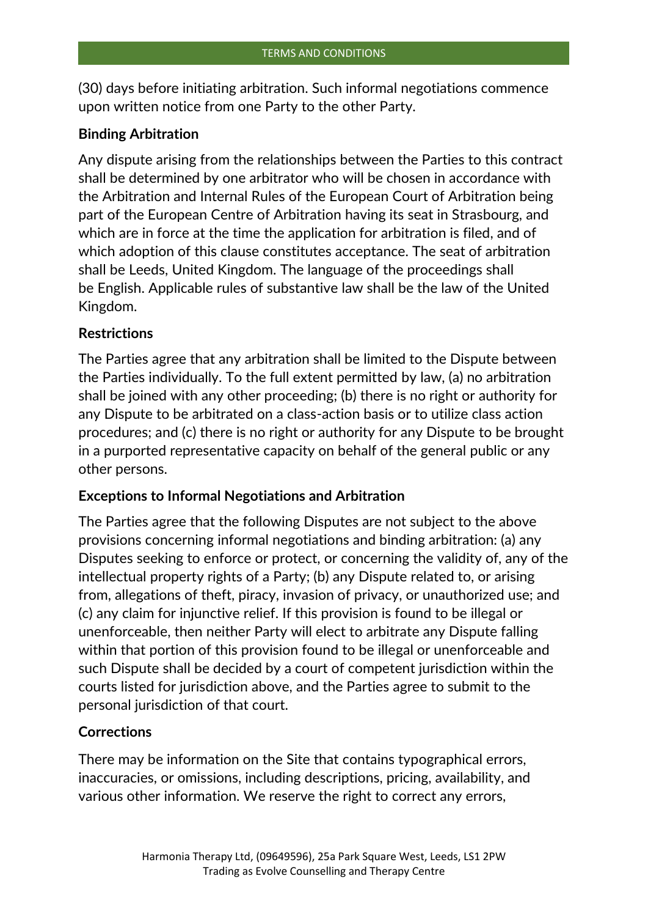(30) days before initiating arbitration. Such informal negotiations commence upon written notice from one Party to the other Party.

## **Binding Arbitration**

Any dispute arising from the relationships between the Parties to this contract shall be determined by one arbitrator who will be chosen in accordance with the Arbitration and Internal Rules of the European Court of Arbitration being part of the European Centre of Arbitration having its seat in Strasbourg, and which are in force at the time the application for arbitration is filed, and of which adoption of this clause constitutes acceptance. The seat of arbitration shall be Leeds, United Kingdom. The language of the proceedings shall be English. Applicable rules of substantive law shall be the law of the United Kingdom.

# **Restrictions**

The Parties agree that any arbitration shall be limited to the Dispute between the Parties individually. To the full extent permitted by law, (a) no arbitration shall be joined with any other proceeding; (b) there is no right or authority for any Dispute to be arbitrated on a class-action basis or to utilize class action procedures; and (c) there is no right or authority for any Dispute to be brought in a purported representative capacity on behalf of the general public or any other persons.

## **Exceptions to Informal Negotiations and Arbitration**

The Parties agree that the following Disputes are not subject to the above provisions concerning informal negotiations and binding arbitration: (a) any Disputes seeking to enforce or protect, or concerning the validity of, any of the intellectual property rights of a Party; (b) any Dispute related to, or arising from, allegations of theft, piracy, invasion of privacy, or unauthorized use; and (c) any claim for injunctive relief. If this provision is found to be illegal or unenforceable, then neither Party will elect to arbitrate any Dispute falling within that portion of this provision found to be illegal or unenforceable and such Dispute shall be decided by a court of competent jurisdiction within the courts listed for jurisdiction above, and the Parties agree to submit to the personal jurisdiction of that court.

# **Corrections**

There may be information on the Site that contains typographical errors, inaccuracies, or omissions, including descriptions, pricing, availability, and various other information. We reserve the right to correct any errors,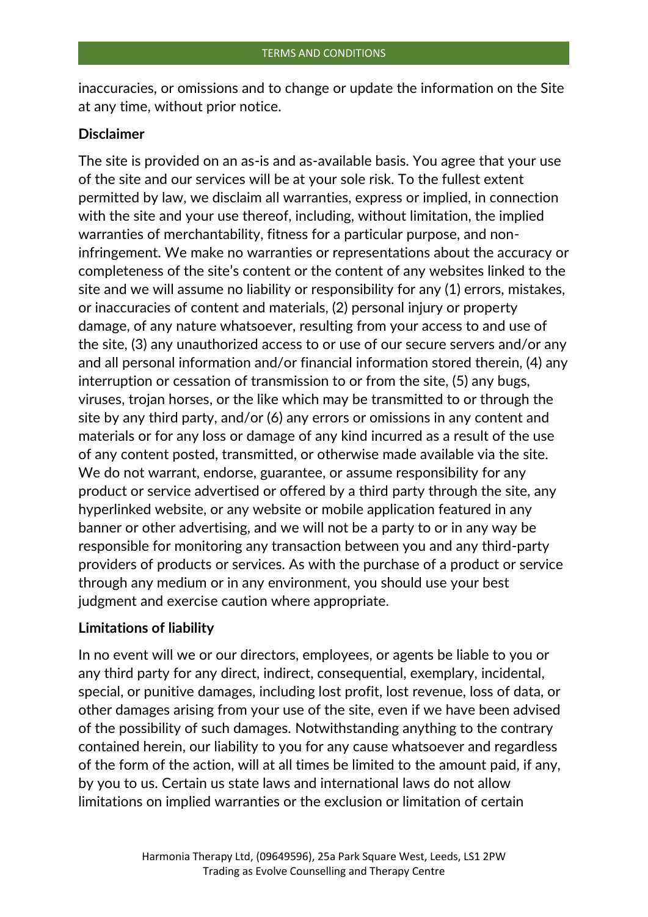inaccuracies, or omissions and to change or update the information on the Site at any time, without prior notice.

#### **Disclaimer**

The site is provided on an as-is and as-available basis. You agree that your use of the site and our services will be at your sole risk. To the fullest extent permitted by law, we disclaim all warranties, express or implied, in connection with the site and your use thereof, including, without limitation, the implied warranties of merchantability, fitness for a particular purpose, and noninfringement. We make no warranties or representations about the accuracy or completeness of the site's content or the content of any websites linked to the site and we will assume no liability or responsibility for any (1) errors, mistakes, or inaccuracies of content and materials, (2) personal injury or property damage, of any nature whatsoever, resulting from your access to and use of the site, (3) any unauthorized access to or use of our secure servers and/or any and all personal information and/or financial information stored therein, (4) any interruption or cessation of transmission to or from the site, (5) any bugs, viruses, trojan horses, or the like which may be transmitted to or through the site by any third party, and/or (6) any errors or omissions in any content and materials or for any loss or damage of any kind incurred as a result of the use of any content posted, transmitted, or otherwise made available via the site. We do not warrant, endorse, guarantee, or assume responsibility for any product or service advertised or offered by a third party through the site, any hyperlinked website, or any website or mobile application featured in any banner or other advertising, and we will not be a party to or in any way be responsible for monitoring any transaction between you and any third-party providers of products or services. As with the purchase of a product or service through any medium or in any environment, you should use your best judgment and exercise caution where appropriate.

### **Limitations of liability**

In no event will we or our directors, employees, or agents be liable to you or any third party for any direct, indirect, consequential, exemplary, incidental, special, or punitive damages, including lost profit, lost revenue, loss of data, or other damages arising from your use of the site, even if we have been advised of the possibility of such damages. Notwithstanding anything to the contrary contained herein, our liability to you for any cause whatsoever and regardless of the form of the action, will at all times be limited to the amount paid, if any, by you to us. Certain us state laws and international laws do not allow limitations on implied warranties or the exclusion or limitation of certain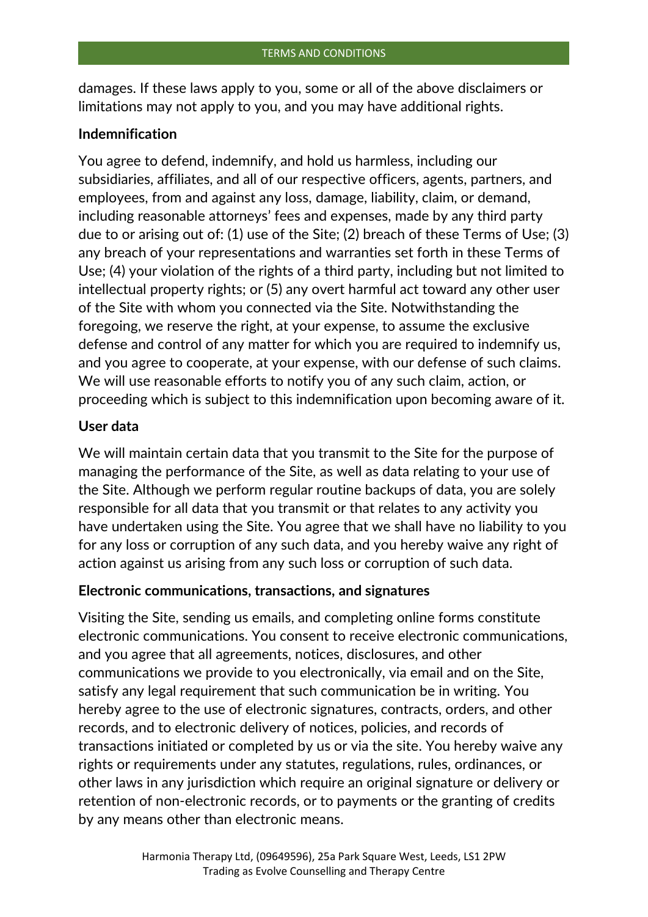damages. If these laws apply to you, some or all of the above disclaimers or limitations may not apply to you, and you may have additional rights.

## **Indemnification**

You agree to defend, indemnify, and hold us harmless, including our subsidiaries, affiliates, and all of our respective officers, agents, partners, and employees, from and against any loss, damage, liability, claim, or demand, including reasonable attorneys' fees and expenses, made by any third party due to or arising out of: (1) use of the Site; (2) breach of these Terms of Use; (3) any breach of your representations and warranties set forth in these Terms of Use; (4) your violation of the rights of a third party, including but not limited to intellectual property rights; or (5) any overt harmful act toward any other user of the Site with whom you connected via the Site. Notwithstanding the foregoing, we reserve the right, at your expense, to assume the exclusive defense and control of any matter for which you are required to indemnify us, and you agree to cooperate, at your expense, with our defense of such claims. We will use reasonable efforts to notify you of any such claim, action, or proceeding which is subject to this indemnification upon becoming aware of it.

## **User data**

We will maintain certain data that you transmit to the Site for the purpose of managing the performance of the Site, as well as data relating to your use of the Site. Although we perform regular routine backups of data, you are solely responsible for all data that you transmit or that relates to any activity you have undertaken using the Site. You agree that we shall have no liability to you for any loss or corruption of any such data, and you hereby waive any right of action against us arising from any such loss or corruption of such data.

## **Electronic communications, transactions, and signatures**

Visiting the Site, sending us emails, and completing online forms constitute electronic communications. You consent to receive electronic communications, and you agree that all agreements, notices, disclosures, and other communications we provide to you electronically, via email and on the Site, satisfy any legal requirement that such communication be in writing. You hereby agree to the use of electronic signatures, contracts, orders, and other records, and to electronic delivery of notices, policies, and records of transactions initiated or completed by us or via the site. You hereby waive any rights or requirements under any statutes, regulations, rules, ordinances, or other laws in any jurisdiction which require an original signature or delivery or retention of non-electronic records, or to payments or the granting of credits by any means other than electronic means.